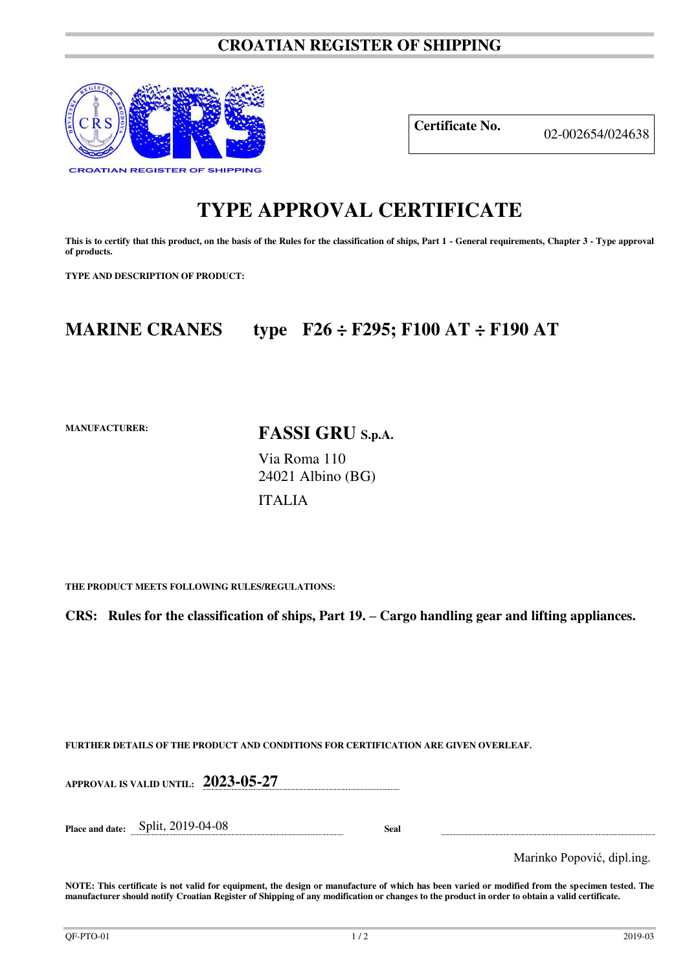### **CROATIAN REGISTER OF SHIPPING**



**Certificate No.** 02-002654/024638

# **TYPE APPROVAL CERTIFICATE**

This is to certify that this product, on the basis of the Rules for the classification of ships, Part 1 - General requirements, Chapter 3 - Type approval **of products.** 

**TYPE AND DESCRIPTION OF PRODUCT:** 

## **MARINE CRANES type F26 ÷ F295; F100 AT ÷ F190 AT**

**MANUFACTURER:**

**FASSI GRU S.p.A.** 

Via Roma 110 24021 Albino (BG)

ITALIA

**THE PRODUCT MEETS FOLLOWING RULES/REGULATIONS:**

**CRS:** Rules for the classification of ships, Part 19. – Cargo handling gear and lifting appliances.

**FURTHER DETAILS OF THE PRODUCT AND CONDITIONS FOR CERTIFICATION ARE GIVEN OVERLEAF.**

**APPROVAL IS VALID UNTIL: 2023-05-27**

**Place and date:** Split, 2019-04-08 **Seal** 

Marinko Popović, dipl.ing.

**NOTE: This certificate is not valid for equipment, the design or manufacture of which has been varied or modified from the specimen tested. The manufacturer should notify Croatian Register of Shipping of any modification or changes to the product in order to obtain a valid certificate.**